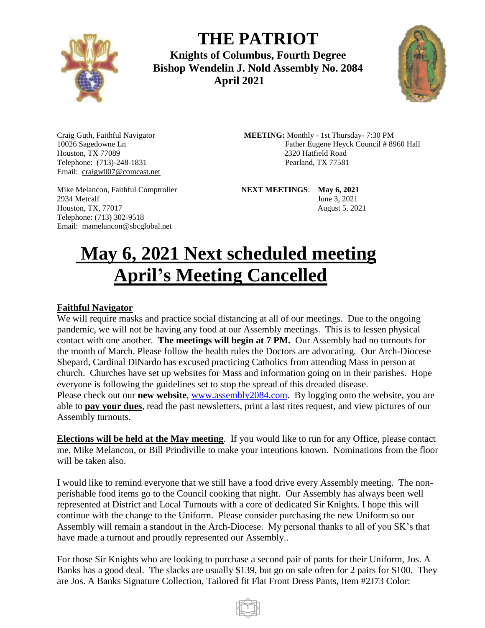

**THE PATRIOT Knights of Columbus, Fourth Degree Bishop Wendelin J. Nold Assembly No. 2084**

 **April 2021**



Houston, TX 77089 2320 Hatfield Road Telephone: (713)-248-1831 **Pearland, TX 77581** Email: craigw007@comcast.net

2934 Metcalf June 3, 2021 Telephone: (713) 302-9518 Email: mamelancon@sbcglobal.net

Craig Guth, Faithful Navigator **MEETING:** Monthly - 1st Thursday- 7:30 PM 10026 Sagedowne Ln Father Eugene Heyck Council # 8960 Hall

Mike Melancon, Faithful Comptroller **NEXT MEETINGS**: **May 6, 2021**  Houston, TX, 77017 August 5, 2021

# **May 6, 2021 Next scheduled meeting April's Meeting Cancelled**

#### **Faithful Navigator**

We will require masks and practice social distancing at all of our meetings. Due to the ongoing pandemic, we will not be having any food at our Assembly meetings. This is to lessen physical contact with one another. **The meetings will begin at 7 PM.** Our Assembly had no turnouts for the month of March. Please follow the health rules the Doctors are advocating. Our Arch-Diocese Shepard, Cardinal DiNardo has excused practicing Catholics from attending Mass in person at church. Churches have set up websites for Mass and information going on in their parishes. Hope everyone is following the guidelines set to stop the spread of this dreaded disease. Please check out our **new website**, [www.assembly2084.com.](http://www.assembly2084.com/) By logging onto the website, you are able to **pay your dues**, read the past newsletters, print a last rites request, and view pictures of our Assembly turnouts.

**Elections will be held at the May meeting**. If you would like to run for any Office, please contact me, Mike Melancon, or Bill Prindiville to make your intentions known. Nominations from the floor will be taken also.

I would like to remind everyone that we still have a food drive every Assembly meeting. The nonperishable food items go to the Council cooking that night. Our Assembly has always been well represented at District and Local Turnouts with a core of dedicated Sir Knights. I hope this will continue with the change to the Uniform. Please consider purchasing the new Uniform so our Assembly will remain a standout in the Arch-Diocese. My personal thanks to all of you SK's that have made a turnout and proudly represented our Assembly..

For those Sir Knights who are looking to purchase a second pair of pants for their Uniform, Jos. A Banks has a good deal. The slacks are usually \$139, but go on sale often for 2 pairs for \$100. They are Jos. A Banks Signature Collection, Tailored fit Flat Front Dress Pants, Item #2J73 Color:

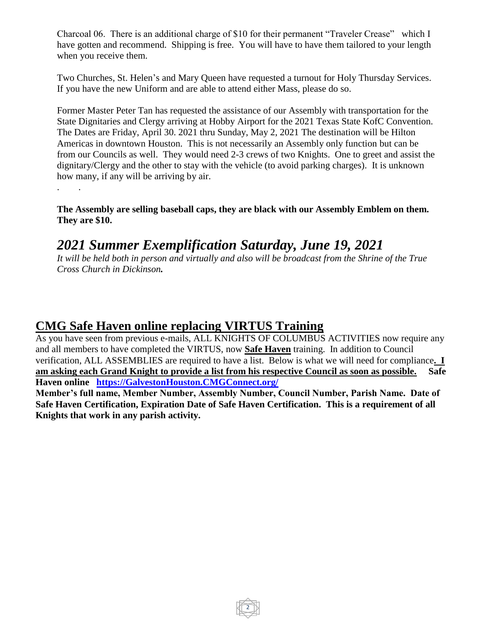Charcoal 06. There is an additional charge of \$10 for their permanent "Traveler Crease" which I have gotten and recommend. Shipping is free. You will have to have them tailored to your length when you receive them.

Two Churches, St. Helen's and Mary Queen have requested a turnout for Holy Thursday Services. If you have the new Uniform and are able to attend either Mass, please do so.

Former Master Peter Tan has requested the assistance of our Assembly with transportation for the State Dignitaries and Clergy arriving at Hobby Airport for the 2021 Texas State KofC Convention. The Dates are Friday, April 30. 2021 thru Sunday, May 2, 2021 The destination will be Hilton Americas in downtown Houston. This is not necessarily an Assembly only function but can be from our Councils as well. They would need 2-3 crews of two Knights. One to greet and assist the dignitary/Clergy and the other to stay with the vehicle (to avoid parking charges). It is unknown how many, if any will be arriving by air.

**The Assembly are selling baseball caps, they are black with our Assembly Emblem on them. They are \$10.** 

## *2021 Summer Exemplification Saturday, June 19, 2021*

*It will be held both in person and virtually and also will be broadcast from the Shrine of the True Cross Church in Dickinson.*

### **CMG Safe Haven online replacing VIRTUS Training**

. .

As you have seen from previous e-mails, ALL KNIGHTS OF COLUMBUS ACTIVITIES now require any and all members to have completed the VIRTUS, now **Safe Haven** training. In addition to Council verification, ALL ASSEMBLIES are required to have a list. Below is what we will need for compliance**. I am asking each Grand Knight to provide a list from his respective Council as soon as possible. Safe Haven online [https://GalvestonHouston.CMGConnect.org/](https://galvestonhouston.cmgconnect.org/)**

**Member's full name, Member Number, Assembly Number, Council Number, Parish Name. Date of Safe Haven Certification, Expiration Date of Safe Haven Certification. This is a requirement of all Knights that work in any parish activity.**

2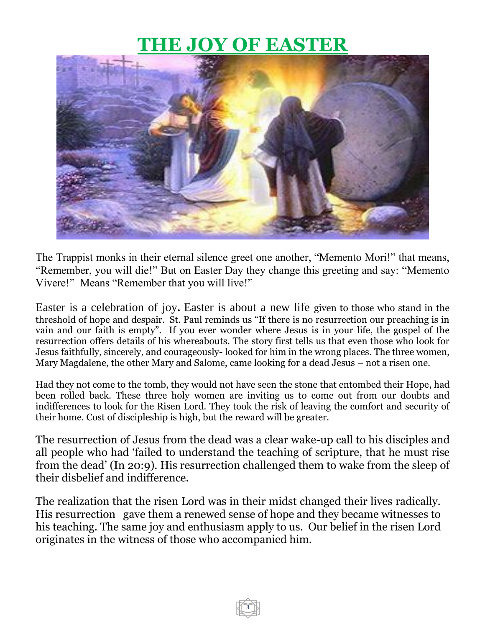## **THE JOY OF EASTER**



The Trappist monks in their eternal silence greet one another, "Memento Mori!" that means, "Remember, you will die!" But on Easter Day they change this greeting and say: "Memento Vivere!" Means "Remember that you will live!"

Easter is a celebration of joy*.* Easter is about a new life given to those who stand in the threshold of hope and despair. St. Paul reminds us "If there is no resurrection our preaching is in vain and our faith is empty". If you ever wonder where Jesus is in your life, the gospel of the resurrection offers details of his whereabouts. The story first tells us that even those who look for Jesus faithfully, sincerely, and courageously- looked for him in the wrong places. The three women, Mary Magdalene, the other Mary and Salome, came looking for a dead Jesus – not a risen one.

Had they not come to the tomb, they would not have seen the stone that entombed their Hope, had been rolled back. These three holy women are inviting us to come out from our doubts and indifferences to look for the Risen Lord. They took the risk of leaving the comfort and security of their home. Cost of discipleship is high, but the reward will be greater.

The resurrection of Jesus from the dead was a clear wake-up call to his disciples and all people who had 'failed to understand the teaching of scripture, that he must rise from the dead' (In 20:9). His resurrection challenged them to wake from the sleep of their disbelief and indifference.

The realization that the risen Lord was in their midst changed their lives radically. His resurrection gave them a renewed sense of hope and they became witnesses to his teaching. The same joy and enthusiasm apply to us. Our belief in the risen Lord originates in the witness of those who accompanied him.

3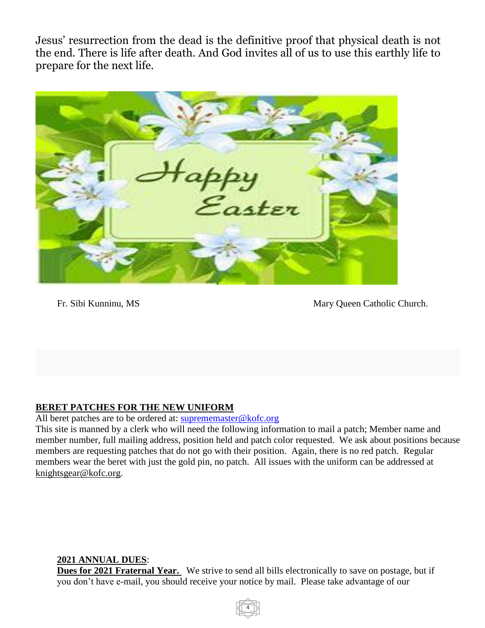Jesus' resurrection from the dead is the definitive proof that physical death is not the end. There is life after death. And God invites all of us to use this earthly life to prepare for the next life.



Fr. Sibi Kunninu, MS Mary Queen Catholic Church.

#### **BERET PATCHES FOR THE NEW UNIFORM**

All beret patches are to be ordered at: [suprememaster@kofc.org](mailto:suprememaster@kofc.org)

This site is manned by a clerk who will need the following information to mail a patch; Member name and member number, full mailing address, position held and patch color requested. We ask about positions because members are requesting patches that do not go with their position. Again, there is no red patch. Regular members wear the beret with just the gold pin, no patch. All issues with the uniform can be addressed at knightsgear@kofc.org.

#### **2021 ANNUAL DUES**:

**Dues for 2021 Fraternal Year.** We strive to send all bills electronically to save on postage, but if you don't have e-mail, you should receive your notice by mail. Please take advantage of our

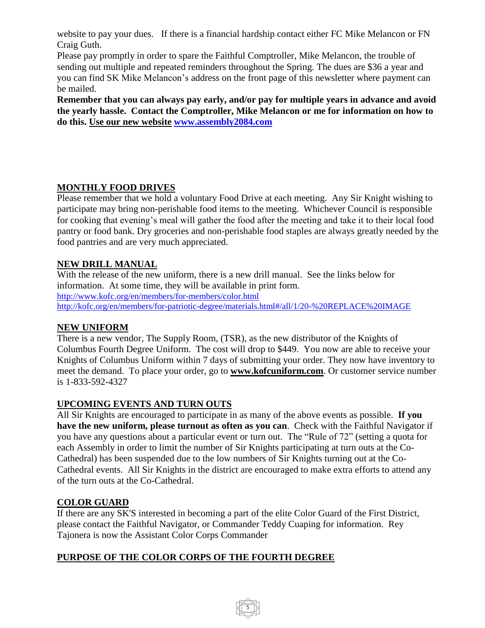website to pay your dues. If there is a financial hardship contact either FC Mike Melancon or FN Craig Guth.

Please pay promptly in order to spare the Faithful Comptroller, Mike Melancon, the trouble of sending out multiple and repeated reminders throughout the Spring. The dues are \$36 a year and you can find SK Mike Melancon's address on the front page of this newsletter where payment can be mailed.

**Remember that you can always pay early, and/or pay for multiple years in advance and avoid the yearly hassle. Contact the Comptroller, Mike Melancon or me for information on how to do this. Use our new website [www.assembly2084.com](http://www.assembly2084.com/)**

#### **MONTHLY FOOD DRIVES**

Please remember that we hold a voluntary Food Drive at each meeting. Any Sir Knight wishing to participate may bring non-perishable food items to the meeting. Whichever Council is responsible for cooking that evening's meal will gather the food after the meeting and take it to their local food pantry or food bank. Dry groceries and non-perishable food staples are always greatly needed by the food pantries and are very much appreciated.

#### **NEW DRILL MANUAL**

With the release of the new uniform, there is a new drill manual. See the links below for information. At some time, they will be available in print form. <http://www.kofc.org/en/members/for-members/color.html> <http://kofc.org/en/members/for-patriotic-degree/materials.html#/all/1/20-%20REPLACE%20IMAGE>

#### **NEW UNIFORM**

There is a new vendor, The Supply Room, (TSR), as the new distributor of the Knights of Columbus Fourth Degree Uniform. The cost will drop to \$449. You now are able to receive your Knights of Columbus Uniform within 7 days of submitting your order. They now have inventory to meet the demand. To place your order, go to **www.kofcuniform.com**. Or customer service number is 1-833-592-4327

#### **UPCOMING EVENTS AND TURN OUTS**

All Sir Knights are encouraged to participate in as many of the above events as possible. **If you have the new uniform, please turnout as often as you can**. Check with the Faithful Navigator if you have any questions about a particular event or turn out. The "Rule of 72" (setting a quota for each Assembly in order to limit the number of Sir Knights participating at turn outs at the Co-Cathedral) has been suspended due to the low numbers of Sir Knights turning out at the Co-Cathedral events. All Sir Knights in the district are encouraged to make extra efforts to attend any of the turn outs at the Co-Cathedral.

#### **COLOR GUARD**

If there are any SK'S interested in becoming a part of the elite Color Guard of the First District, please contact the Faithful Navigator, or Commander Teddy Cuaping for information. Rey Tajonera is now the Assistant Color Corps Commander

5

#### **PURPOSE OF THE COLOR CORPS OF THE FOURTH DEGREE**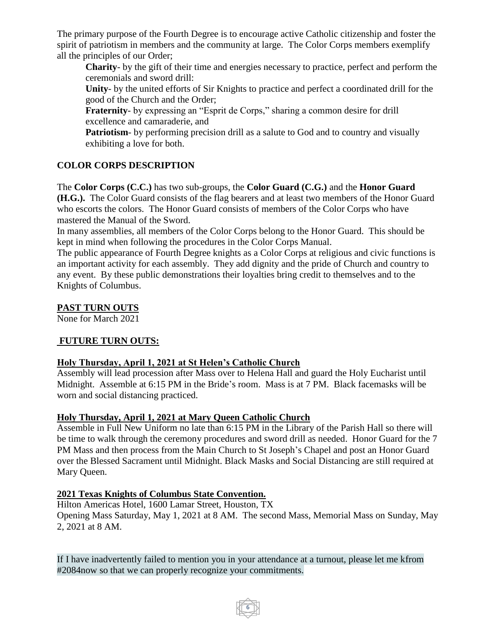The primary purpose of the Fourth Degree is to encourage active Catholic citizenship and foster the spirit of patriotism in members and the community at large. The Color Corps members exemplify all the principles of our Order;

**Charity**- by the gift of their time and energies necessary to practice, perfect and perform the ceremonials and sword drill:

**Unity**- by the united efforts of Sir Knights to practice and perfect a coordinated drill for the good of the Church and the Order;

**Fraternity**- by expressing an "Esprit de Corps," sharing a common desire for drill excellence and camaraderie, and

**Patriotism**- by performing precision drill as a salute to God and to country and visually exhibiting a love for both.

#### **COLOR CORPS DESCRIPTION**

The **Color Corps (C.C.)** has two sub-groups, the **Color Guard (C.G.)** and the **Honor Guard (H.G.).** The Color Guard consists of the flag bearers and at least two members of the Honor Guard who escorts the colors. The Honor Guard consists of members of the Color Corps who have mastered the Manual of the Sword.

In many assemblies, all members of the Color Corps belong to the Honor Guard. This should be kept in mind when following the procedures in the Color Corps Manual.

The public appearance of Fourth Degree knights as a Color Corps at religious and civic functions is an important activity for each assembly. They add dignity and the pride of Church and country to any event. By these public demonstrations their loyalties bring credit to themselves and to the Knights of Columbus.

#### **PAST TURN OUTS**

None for March 2021

#### **FUTURE TURN OUTS:**

#### **Holy Thursday, April 1, 2021 at St Helen's Catholic Church**

Assembly will lead procession after Mass over to Helena Hall and guard the Holy Eucharist until Midnight. Assemble at 6:15 PM in the Bride's room. Mass is at 7 PM. Black facemasks will be worn and social distancing practiced.

#### **Holy Thursday, April 1, 2021 at Mary Queen Catholic Church**

Assemble in Full New Uniform no late than 6:15 PM in the Library of the Parish Hall so there will be time to walk through the ceremony procedures and sword drill as needed. Honor Guard for the 7 PM Mass and then process from the Main Church to St Joseph's Chapel and post an Honor Guard over the Blessed Sacrament until Midnight. Black Masks and Social Distancing are still required at Mary Queen.

#### **2021 Texas Knights of Columbus State Convention.**

Hilton Americas Hotel, 1600 Lamar Street, Houston, TX Opening Mass Saturday, May 1, 2021 at 8 AM. The second Mass, Memorial Mass on Sunday, May 2, 2021 at 8 AM.

If I have inadvertently failed to mention you in your attendance at a turnout, please let me kfrom #2084now so that we can properly recognize your commitments.